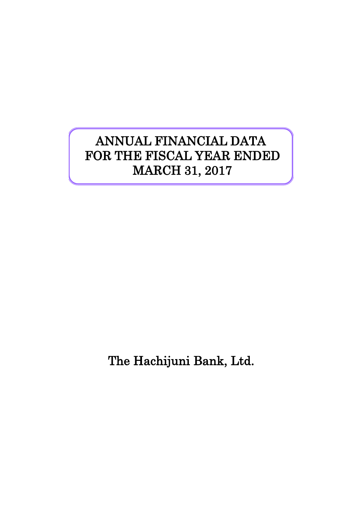# ANNUAL FINANCIAL DATA FOR THE FISCAL YEAR ENDED MARCH 31, 2017

The Hachijuni Bank, Ltd.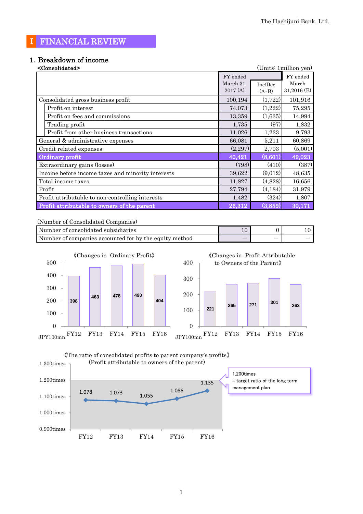## Ⅰ FINANCIAL REVIEW

# 1.Breakdown of income

| <consolidated></consolidated>                     |           |          | (Units: 1 million yen) |
|---------------------------------------------------|-----------|----------|------------------------|
|                                                   | FY ended  |          | FY ended               |
|                                                   | March 31, | Inc/Dec  | March                  |
|                                                   | 2017(A)   | $(A-B)$  | $31,2016$ (B)          |
| Consolidated gross business profit                | 100,194   | (1,722)  | 101,916                |
| Profit on interest                                | 74,073    | (1,222)  | 75,295                 |
| Profit on fees and commissions                    | 13,359    | (1,635)  | 14,994                 |
| Trading profit                                    | 1,735     | (97)     | 1,832                  |
| Profit from other business transactions           | 11,026    | 1,233    | 9,793                  |
| General & administrative expenses                 | 66,081    | 5,211    | 60,869                 |
| Credit related expenses                           | (2,297)   | 2,703    | (5,001)                |
| Ordinary profit                                   | 40,421    | (8,601)  | 49,023                 |
| Extraordinary gains (losses)                      | (798)     | (410)    | (387)                  |
| Income before income taxes and minority interests | 39,622    | (9,012)  | 48,635                 |
| Total income taxes                                | 11,827    | (4,828)  | 16,656                 |
| Profit                                            | 27,794    | (4, 184) | 31,979                 |
| Profit attributable to non-controlling interests  | 1,482     | (324)    | 1,807                  |
| Profit attributable to owners of the parent       | 26,312    | (3,859)  | 30,171                 |

(Number of Consolidated Companies)

| Number of consolidated subsidiaries                    |  |  |
|--------------------------------------------------------|--|--|
| Number of companies accounted for by the equity method |  |  |



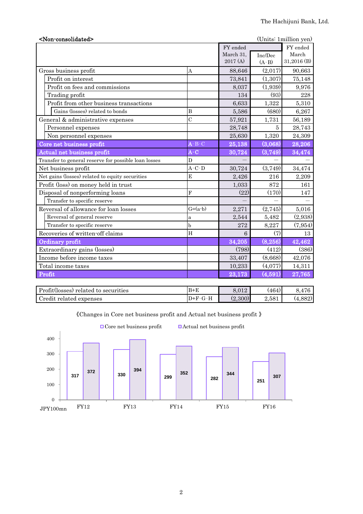| <non-consolidated></non-consolidated>                |                                            |           |                       | (Units: 1 million yen) |
|------------------------------------------------------|--------------------------------------------|-----------|-----------------------|------------------------|
|                                                      |                                            | FY ended  |                       | FY ended               |
|                                                      |                                            | March 31, | Inc/Dec               | March                  |
|                                                      |                                            | 2017 (A)  | $(A-B)$               | 31,2016 (B)            |
| Gross business profit                                | A                                          | 88,646    | (2,017)               | 90,663                 |
| Profit on interest                                   |                                            | 73,841    | (1,307)               | 75,148                 |
| Profit on fees and commissions                       |                                            | 8,037     | (1,939)               | 9,976                  |
| Trading profit                                       |                                            | 134       | (93)                  | 228                    |
| Profit from other business transactions              |                                            | 6,633     | 1,322                 | 5,310                  |
| Gains (losses) related to bonds                      | $\bf{B}$                                   | 5,586     | (680)                 | 6,267                  |
| General & administrative expenses                    | $\overline{C}$                             | 57,921    | 1,731                 | 56,189                 |
| Personnel expenses                                   |                                            | 28,748    | 5                     | 28,743                 |
| Non personnel expenses                               |                                            | 25,630    | 1,320                 | 24,309                 |
| Core net business profit                             | $\mathbf{A}$ - $\mathbf{B}$ - $\mathbf{C}$ | 25,138    | (3,068)               | 28,206                 |
| Actual net business profit                           | $A-C$                                      | 30,724    | (3,749)               | 34,474                 |
| Transfer to general reserve for possible loan losses | D                                          |           |                       |                        |
| Net business profit                                  | $A-C-D$                                    | 30,724    | (3,749)               | 34,474                 |
| Net gains (losses) related to equity securities      | E                                          | 2,426     | 216                   | 2,209                  |
| Profit (loss) on money held in trust                 |                                            | 1,033     | 872                   | 161                    |
| Disposal of nonperforming loans                      | $\mathbf{F}$                               | (22)      | (170)                 | 147                    |
| Transfer to specific reserve                         |                                            |           |                       |                        |
| Reversal of allowance for loan losses                | $G=(a-b)$                                  | 2,271     | (2,745)               | 5,016                  |
| Reversal of general reserve                          | a                                          | 2,544     | 5,482                 | (2,938)                |
| Transfer to specific reserve                         | b                                          | 272       | 8,227                 | (7, 954)               |
| Recoveries of written-off claims                     | H                                          | 6         | (7)                   | 13                     |
| Ordinary profit                                      |                                            | 34,205    | (8, 256)              | 42,462                 |
| Extraordinary gains (losses)                         |                                            | (798)     | (412)                 | (386)                  |
| Income before income taxes                           |                                            | 33,407    | (8,668)               | 42,076                 |
| Total income taxes                                   |                                            | 10,233    | (4,077)               | 14,311                 |
| Profit                                               |                                            | 23,173    | $\left( 4,591\right)$ | 27,765                 |

| Profit(losses) related to securities | $B+E$     | 8.012   | '464      | $1 \Box 0$<br>41C |
|--------------------------------------|-----------|---------|-----------|-------------------|
| Credit<br>related expenses           | $D+F-G-H$ | (2,300) | $2{,}581$ | (4,882)           |

《Changes in Core net business profit and Actual net business profit 》



2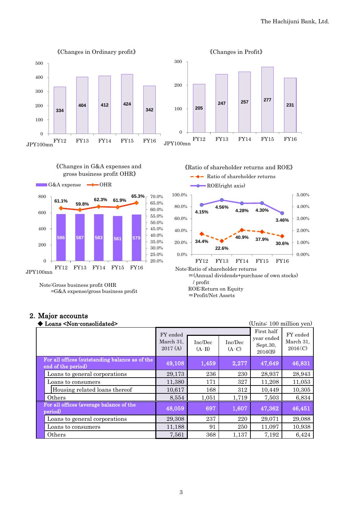

#### 2.Major accounts

| Loans <non-consolidated></non-consolidated>                          |                                  |                    |                    | (Units: 100 million yen)                        |                                  |
|----------------------------------------------------------------------|----------------------------------|--------------------|--------------------|-------------------------------------------------|----------------------------------|
|                                                                      | FY ended<br>March 31,<br>2017(A) | Inc/Dec<br>$(A-B)$ | Inc/Dec<br>$(A-C)$ | First half<br>year ended<br>Sept.30,<br>2016(B) | FY ended<br>March 31,<br>2016(C) |
| For all offices (outstanding balance as of the<br>end of the period) | 49,108                           | 1,459              | 2,277              | 47,649                                          | 46,831                           |
| Loans to general corporations                                        | 29,173                           | 236                | 230                | 28,937                                          | 28,943                           |
| Loans to consumers                                                   | 11,380                           | 171                | 327                | 11,208                                          | 11,053                           |
| Housing related loans thereof                                        | 10,617                           | 168                | 312                | 10,449                                          | 10,305                           |
| Others                                                               | 8,554                            | 1,051              | 1,719              | 7,503                                           | 6,834                            |
| For all offices (average balance of the<br>period)                   | 48,059                           | 697                | 1,607              | 47,362                                          | 46,451                           |
| Loans to general corporations                                        | 29,308                           | 237                | 220                | 29,071                                          | 29,088                           |
| Loans to consumers                                                   | 11,188                           | 91                 | 250                | 11,097                                          | 10,938                           |
| Others                                                               | 7,561                            | 368                | 1,137              | 7,192                                           | 6,424                            |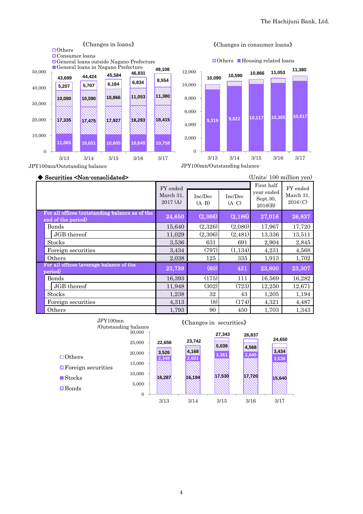





JPY100mn/Outstanding balance

◆ Securities <Non-consolidated> (Units: 100 million yen)

| $\sqrt{2}$ $\frac{1}{2}$                                             |                                  |                    |                    |                                                 |                                  |  |  |
|----------------------------------------------------------------------|----------------------------------|--------------------|--------------------|-------------------------------------------------|----------------------------------|--|--|
|                                                                      | FY ended<br>March 31,<br>2017(A) | Inc/Dec<br>$(A-B)$ | Inc/Dec<br>$(A-C)$ | First half<br>year ended<br>Sept.30,<br>2016(B) | FY ended<br>March 31,<br>2016(C) |  |  |
| For all offices (outstanding balance as of the<br>end of the period) | 24,650                           | (2,366)            | (2, 186)           | 27,016                                          | 26,837                           |  |  |
| Bonds                                                                | 15,640                           | (2,326)            | (2,080)            | 17,967                                          | 17,720                           |  |  |
| JGB thereof                                                          | 11,029                           | (2,306)            | (2, 481)           | 13,336                                          | 13,511                           |  |  |
| <b>Stocks</b>                                                        | 3,536                            | 631                | 691                | 2,904                                           | 2,845                            |  |  |
| Foreign securities                                                   | 3,434                            | (797)              | (1,134)            | 4,231                                           | 4,568                            |  |  |
| Others                                                               | 2,038                            | 125                | 335                | 1,913                                           | 1,702                            |  |  |
| For all offices (average balance of the<br>period)                   | 23,739                           | (60)               | 431                | 23,800                                          | 23,307                           |  |  |
| Bonds                                                                | 16,393                           | (175)              | 111                | 16,569                                          | 16,282                           |  |  |
| JGB thereof                                                          | 11,948                           | (302)              | (723)              | 12,250                                          | 12,671                           |  |  |
| <b>Stocks</b>                                                        | 1,238                            | 32                 | 43                 | 1,205                                           | 1,194                            |  |  |
| Foreign securities                                                   | 4,313                            | (8)                | (174)              | 4,321                                           | 4,487                            |  |  |
| Others                                                               | 1,793                            | 90                 | 450                | 1,703                                           | 1,343                            |  |  |

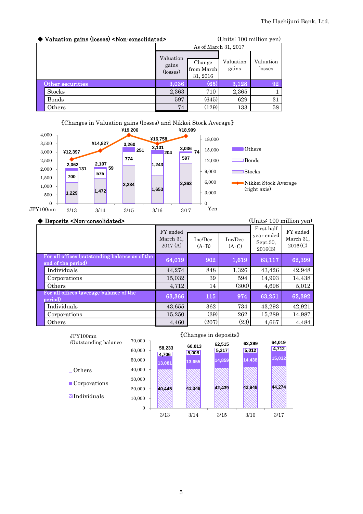| ◆ Valuation gains (losses) <non-consolidated></non-consolidated> |                                | (Units: 100 million yen)         |                    |                     |  |
|------------------------------------------------------------------|--------------------------------|----------------------------------|--------------------|---------------------|--|
|                                                                  | As of March 31, 2017           |                                  |                    |                     |  |
|                                                                  | Valuation<br>gains<br>(losses) | Change<br>from March<br>31, 2016 | Valuation<br>gains | Valuation<br>losses |  |
| Other securities                                                 | 3.036                          | (65)                             | 3,128              | 92                  |  |
| <b>Stocks</b>                                                    | 2,363                          | 710                              | 2,365              |                     |  |
| Bonds                                                            | 597                            | (645)                            | 629                | 31                  |  |
| Others                                                           | 74                             | (129)                            | 133                | 58                  |  |

#### 《Changes in Valuation gains (losses) and Nikkei Stock Average》



#### ◆ Deposits <Non-consolidated> (Units: 100 million yen)

|                                                                      | FY ended<br>March 31,<br>2017(A) | Inc/Dec<br>$(A-B)$ | Inc/Dec<br>$(A-C)$ | First half<br>year ended<br>Sept.30,<br>2016(B) | FY ended<br>March 31,<br>2016(C) |
|----------------------------------------------------------------------|----------------------------------|--------------------|--------------------|-------------------------------------------------|----------------------------------|
| For all offices (outstanding balance as of the<br>end of the period) | 64,019                           | 902                | 1,619              | 63,117                                          | 62,399                           |
| Individuals                                                          | 44,274                           | 848                | 1,326              | 43,426                                          | 42,948                           |
| Corporations                                                         | 15,032                           | 39                 | 594                | 14,993                                          | 14,438                           |
| Others                                                               | 4,712                            | 14                 | (300)              | 4,698                                           | 5,012                            |
| For all offices (average balance of the<br>period)                   | 63,366                           | 115                | 974                | 63,251                                          | 62,392                           |
| Individuals                                                          | 43,655                           | 362                | 734                | 43,293                                          | 42,921                           |
| Corporations                                                         | 15,250                           | (39)               | 262                | 15,289                                          | 14,987                           |
| Others                                                               | 4,460                            | (207)              | (23)               | 4,667                                           | 4,484                            |



#### 5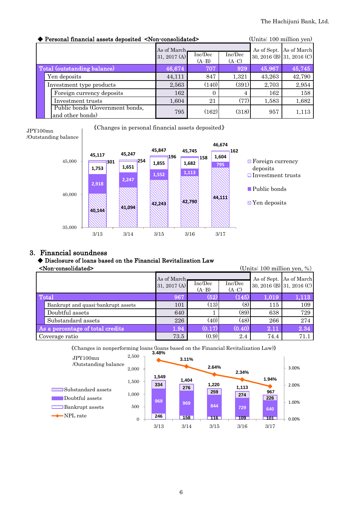| (Units: 100 million yen)<br>Personal financial assets deposited <non-consolidated></non-consolidated> |                                |                    |                    |        |                                                      |  |
|-------------------------------------------------------------------------------------------------------|--------------------------------|--------------------|--------------------|--------|------------------------------------------------------|--|
|                                                                                                       | As of March.<br>31, 2017 $(A)$ | Inc/Dec<br>$(A-B)$ | Inc/Dec<br>$(A-C)$ |        | As of Sept. As of March<br>30, 2016 (B) 31, 2016 (C) |  |
| Total (outstanding balance)                                                                           | 46,674                         | 707                | 929                | 45,967 | 45,745                                               |  |
| Yen deposits                                                                                          | 44,111                         | 847                | 1,321              | 43,263 | 42,790                                               |  |
| Investment type products                                                                              | 2,563                          | (140)              | (391)              | 2,703  | 2,954                                                |  |
| Foreign currency deposits                                                                             | 162                            | $\Omega$           | 4                  | 162    | 158                                                  |  |
| Investment trusts                                                                                     | 1,604                          | 21                 | (77)               | 1,583  | 1,682                                                |  |
| Public bonds (Government bonds,<br>and other bonds)                                                   | 795                            | (162)              | (318)              | 957    | 1,113                                                |  |

《Changes in personal financial assets deposited》





#### 3. Financial soundness

### ◆ Disclosure of loans based on the Financial Revitalization Law

| (Units: $100$ million yen, %)<br><non-consolidated></non-consolidated> |                                    |                              |                    |                    |       |                                                      |
|------------------------------------------------------------------------|------------------------------------|------------------------------|--------------------|--------------------|-------|------------------------------------------------------|
|                                                                        |                                    | As of March-<br>31, 2017 (A) | Inc/Dec<br>$(A-B)$ | Inc/Dec<br>$(A-C)$ |       | As of Sept. As of March<br>30, 2016 (B) 31, 2016 (C) |
| Total                                                                  |                                    | 967                          | (52                | (145)              | 1.019 | 1,113                                                |
|                                                                        | Bankrupt and quasi-bankrupt assets | 101                          | (13)               | (8)                | 115   | 109                                                  |
|                                                                        | Doubtful assets                    | 640                          |                    | (89)               | 638   | 729                                                  |
|                                                                        | Substandard assets                 | 226                          | (40)               | (48)               | 266   | 274                                                  |
| As a percentage of total credits                                       |                                    | 1.94                         | (0.17)             | (0.40)             | 2.11  | 2.34                                                 |
| Coverage ratio                                                         |                                    | 73.5                         | (0.9)              | 2.4                | 74.4  | 71.1                                                 |

**3.48%** 《Changes in nonperforming loans (loans based on the Financial Revitalization Law)》

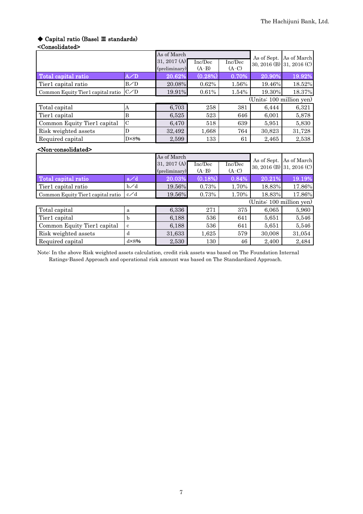# ◆ Capital ratio (Basel Ⅲ standards)

| <consolidated></consolidated>         |                |                                 |                    |                    |                          |                           |
|---------------------------------------|----------------|---------------------------------|--------------------|--------------------|--------------------------|---------------------------|
|                                       |                | As of March                     |                    |                    | As of Sept.              | As of March               |
|                                       |                | 31, 2017 $(A)$<br>(preliminary) | Inc/Dec<br>$(A-B)$ | Inc/Dec<br>$(A-C)$ |                          | 30, 2016 (B) 31, 2016 (C) |
| Total capital ratio                   | $A \angle D$   | 20.62%                          | (0.28%)            | 0.70%              | 20.90%                   | 19.92%                    |
| Tier1 capital ratio                   | B/D            | 20.08%                          | 0.62%              | 1.56%              | 19.46%                   | 18.52%                    |
| Common Equity Tier1 capital ratio     | C/D            | 19.91%                          | 0.61%              | 1.54%              | 19.30%                   | 18.37%                    |
|                                       |                |                                 |                    |                    | (Units: 100 million yen) |                           |
| Total capital                         | Α              | 6,703                           | 258                | 381                | 6,444                    | 6,321                     |
| Tier1 capital                         | B              | 6,525                           | 523                | 646                | 6,001                    | 5,878                     |
| Common Equity Tier1 capital           | $\mathcal C$   | 6,470                           | 518                | 639                | 5,951                    | 5,830                     |
| Risk weighted assets                  | D              | 32,492                          | 1,668              | 764                | 30,823                   | 31,728                    |
| Required capital                      | $D \times 8\%$ | 2,599                           | 133                | 61                 | 2,465                    | 2,538                     |
| <non-consolidated></non-consolidated> |                |                                 |                    |                    |                          |                           |
|                                       |                | As of March                     |                    |                    | As of Sept.              | As of March               |
|                                       |                | 31, 2017 $(A)$<br>(preliminary) | Inc/Dec<br>$(A-B)$ | Inc/Dec<br>$(A-C)$ |                          | 30, 2016 (B) 31, 2016 (C) |
| Total capital ratio                   | a/d            | 20.03%                          | (0.18%)            | 0.84%              | 20.21%                   | 19.19%                    |
| Tier1 capital ratio                   | $b\angle d$    | 19.56%                          | 0.73%              | 1.70%              | 18.83%                   | 17.86%                    |

| Common Equity Tier1 capital ratio | c/d  | 19.56% | 0.73% | 1.70% | 18.83% | 17.86% |
|-----------------------------------|------|--------|-------|-------|--------|--------|
| (Units: 100 million yen)          |      |        |       |       |        |        |
| Total capital                     | a    | 6,336  | 271   | 375   | 6,065  | 5,960  |
| Tier1 capital                     |      | 6,188  | 536   | 641   | 5,651  | 5,546  |
| Common Equity Tier1 capital       | c    | 6,188  | 536   | 641   | 5,651  | 5,546  |
| Risk weighted assets              | d    | 31,633 | 1.625 | 579   | 30,008 | 31,054 |
| Required capital                  | dx8% | 2,530  | 130   | 46    | 2.400  | 2,484  |

Note: In the above Risk weighted assets calculation, credit risk assets was based on The Foundation Internal Ratings-Based Approach and operational risk amount was based on The Standardized Approach.